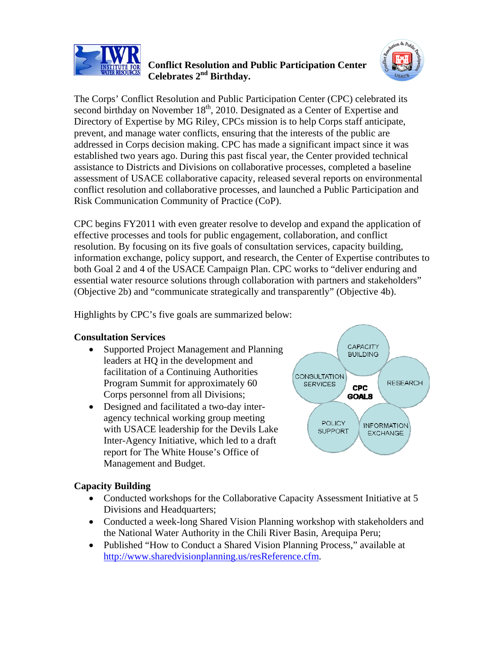

## **Conflict Resolution and Public Participation Center Celebrates 2nd Birthday.**



The Corps' Conflict Resolution and Public Participation Center (CPC) celebrated its second birthday on November  $18<sup>th</sup>$ , 2010. Designated as a Center of Expertise and Directory of Expertise by MG Riley, CPCs mission is to help Corps staff anticipate, prevent, and manage water conflicts, ensuring that the interests of the public are addressed in Corps decision making. CPC has made a significant impact since it was established two years ago. During this past fiscal year, the Center provided technical assistance to Districts and Divisions on collaborative processes, completed a baseline assessment of USACE collaborative capacity, released several reports on environmental conflict resolution and collaborative processes, and launched a Public Participation and Risk Communication Community of Practice (CoP).

CPC begins FY2011 with even greater resolve to develop and expand the application of effective processes and tools for public engagement, collaboration, and conflict resolution. By focusing on its five goals of consultation services, capacity building, information exchange, policy support, and research, the Center of Expertise contributes to both Goal 2 and 4 of the USACE Campaign Plan. CPC works to "deliver enduring and essential water resource solutions through collaboration with partners and stakeholders" (Objective 2b) and "communicate strategically and transparently" (Objective 4b).

Highlights by CPC's five goals are summarized below:

# **Consultation Services**

- Supported Project Management and Planning leaders at HQ in the development and facilitation of a Continuing Authorities Program Summit for approximately 60 Corps personnel from all Divisions;
- Designed and facilitated a two-day interagency technical working group meeting with USACE leadership for the Devils Lake Inter-Agency Initiative, which led to a draft report for The White House's Office of Management and Budget.



# **Capacity Building**

- Conducted workshops for the Collaborative Capacity Assessment Initiative at 5 Divisions and Headquarters;
- Conducted a week-long Shared Vision Planning workshop with stakeholders and the National Water Authority in the Chili River Basin, Arequipa Peru;
- Published "How to Conduct a Shared Vision Planning Process," available at http://www.sharedvisionplanning.us/resReference.cfm.